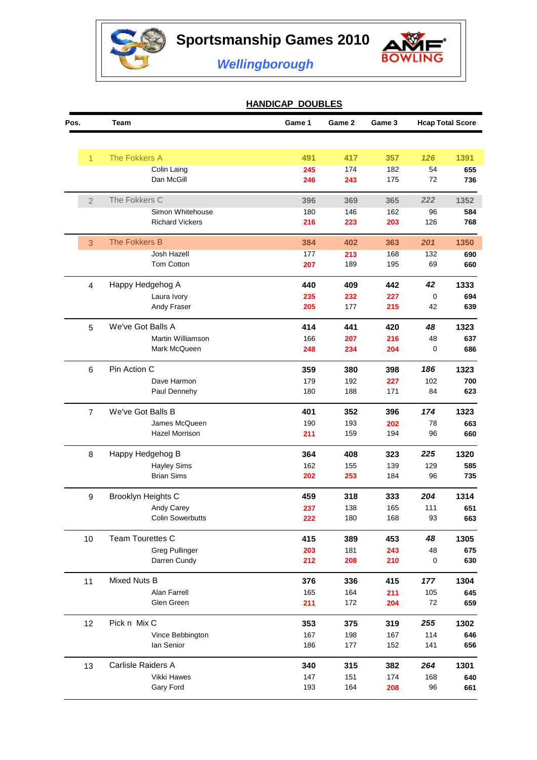



*Wellingborough*

## **HANDICAP DOUBLES**

| Pos.           | Team                    | Game 1 | Game 2 | Game 3 | <b>Hcap Total Score</b> |      |
|----------------|-------------------------|--------|--------|--------|-------------------------|------|
|                |                         |        |        |        |                         |      |
| $\overline{1}$ | The Fokkers A           | 491    | 417    | 357    | 126                     | 1391 |
|                | Colin Laing             | 245    | 174    | 182    | 54                      | 655  |
|                | Dan McGill              | 246    | 243    | 175    | 72                      | 736  |
| $\overline{2}$ | The Fokkers C           | 396    | 369    | 365    | 222                     | 1352 |
|                | Simon Whitehouse        | 180    | 146    | 162    | 96                      | 584  |
|                | <b>Richard Vickers</b>  | 216    | 223    | 203    | 126                     | 768  |
| 3              | The Fokkers B           | 384    | 402    | 363    | 201                     | 1350 |
|                | Josh Hazell             | 177    | 213    | 168    | 132                     | 690  |
|                | Tom Cotton              | 207    | 189    | 195    | 69                      | 660  |
| $\overline{4}$ | Happy Hedgehog A        | 440    | 409    | 442    | 42                      | 1333 |
|                | Laura Ivory             | 235    | 232    | 227    | 0                       | 694  |
|                | Andy Fraser             | 205    | 177    | 215    | 42                      | 639  |
| $\overline{5}$ | We've Got Balls A       | 414    | 441    | 420    | 48                      | 1323 |
|                | Martin Williamson       | 166    | 207    | 216    | 48                      | 637  |
|                | Mark McQueen            | 248    | 234    | 204    | 0                       | 686  |
| $\,6$          | Pin Action C            | 359    | 380    | 398    | 186                     | 1323 |
|                | Dave Harmon             | 179    | 192    | 227    | 102                     | 700  |
|                | Paul Dennehy            | 180    | 188    | 171    | 84                      | 623  |
| $\overline{7}$ | We've Got Balls B       | 401    | 352    | 396    | 174                     | 1323 |
|                | James McQueen           | 190    | 193    | 202    | 78                      | 663  |
|                | <b>Hazel Morrison</b>   | 211    | 159    | 194    | 96                      | 660  |
| 8              | Happy Hedgehog B        | 364    | 408    | 323    | 225                     | 1320 |
|                | <b>Hayley Sims</b>      | 162    | 155    | 139    | 129                     | 585  |
|                | <b>Brian Sims</b>       | 202    | 253    | 184    | 96                      | 735  |
| 9              | Brooklyn Heights C      | 459    | 318    | 333    | 204                     | 1314 |
|                | Andy Carey              | 237    | 138    | 165    | 111                     | 651  |
|                | <b>Colin Sowerbutts</b> | 222    | 180    | 168    | 93                      | 663  |
| 10             | Team Tourettes C        | 415    | 389    | 453    | 48                      | 1305 |
|                | <b>Greg Pullinger</b>   | 203    | 181    | 243    | 48                      | 675  |
|                | Darren Cundy            | 212    | 208    | 210    | 0                       | 630  |
| 11             | Mixed Nuts B            | 376    | 336    | 415    | 177                     | 1304 |
|                | Alan Farrell            | 165    | 164    | 211    | 105                     | 645  |
|                | Glen Green              | 211    | 172    | 204    | 72                      | 659  |
| 12             | Pick n Mix C            | 353    | 375    | 319    | 255                     | 1302 |
|                | Vince Bebbington        | 167    | 198    | 167    | 114                     | 646  |
|                | lan Senior              | 186    | 177    | 152    | 141                     | 656  |
| 13             | Carlisle Raiders A      | 340    | 315    | 382    | 264                     | 1301 |
|                | Vikki Hawes             | 147    | 151    | 174    | 168                     | 640  |
|                | Gary Ford               | 193    | 164    | 208    | 96                      | 661  |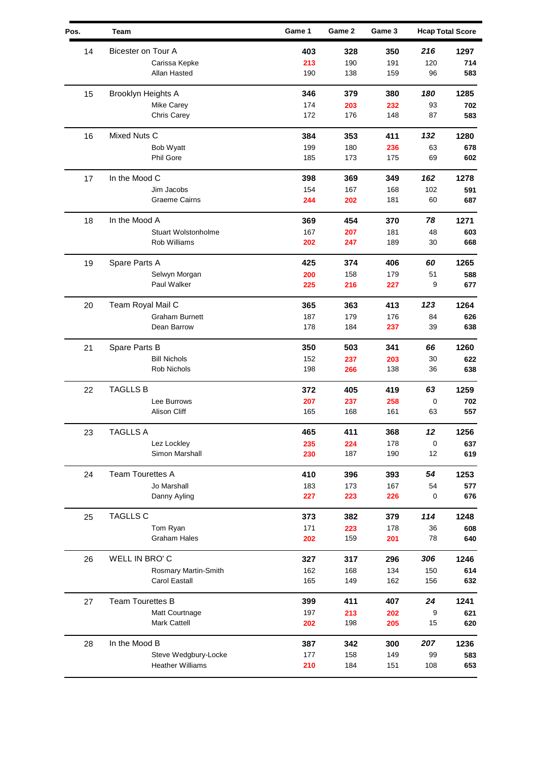| Pos. | Team                       | Game 1 | Game 2 | Game 3 |             | <b>Hcap Total Score</b> |
|------|----------------------------|--------|--------|--------|-------------|-------------------------|
| 14   | Bicester on Tour A         | 403    | 328    | 350    | 216         | 1297                    |
|      | Carissa Kepke              | 213    | 190    | 191    | 120         | 714                     |
|      | Allan Hasted               | 190    | 138    | 159    | 96          | 583                     |
| 15   | Brooklyn Heights A         | 346    | 379    | 380    | 180         | 1285                    |
|      | Mike Carey                 | 174    | 203    | 232    | 93          | 702                     |
|      | Chris Carey                | 172    | 176    | 148    | 87          | 583                     |
| 16   | Mixed Nuts C               | 384    | 353    | 411    | 132         | 1280                    |
|      | Bob Wyatt                  | 199    | 180    | 236    | 63          | 678                     |
|      | <b>Phil Gore</b>           | 185    | 173    | 175    | 69          | 602                     |
| 17   | In the Mood C              | 398    | 369    | 349    | 162         | 1278                    |
|      | Jim Jacobs                 | 154    | 167    | 168    | 102         | 591                     |
|      | Graeme Cairns              | 244    | 202    | 181    | 60          | 687                     |
| 18   | In the Mood A              | 369    | 454    | 370    | 78          | 1271                    |
|      | <b>Stuart Wolstonholme</b> | 167    | 207    | 181    | 48          | 603                     |
|      | Rob Williams               | 202    | 247    | 189    | 30          | 668                     |
| 19   | Spare Parts A              | 425    | 374    | 406    | 60          | 1265                    |
|      | Selwyn Morgan              | 200    | 158    | 179    | 51          | 588                     |
|      | Paul Walker                | 225    | 216    | 227    | 9           | 677                     |
| 20   | Team Royal Mail C          | 365    | 363    | 413    | 123         | 1264                    |
|      | Graham Burnett             | 187    | 179    | 176    | 84          | 626                     |
|      | Dean Barrow                | 178    | 184    | 237    | 39          | 638                     |
| 21   | Spare Parts B              | 350    | 503    | 341    | 66          | 1260                    |
|      | <b>Bill Nichols</b>        | 152    | 237    | 203    | 30          | 622                     |
|      | Rob Nichols                | 198    | 266    | 138    | 36          | 638                     |
| 22   | <b>TAGLLS B</b>            | 372    | 405    | 419    | 63          | 1259                    |
|      | Lee Burrows                | 207    | 237    | 258    | 0           | 702                     |
|      | <b>Alison Cliff</b>        | 165    | 168    | 161    | 63          | 557                     |
| 23   | TAGLLS A                   | 465    | 411    | 368    | 12          | 1256                    |
|      | Lez Lockley                | 235    | 224    | 178    | $\mathbf 0$ | 637                     |
|      | Simon Marshall             | 230    | 187    | 190    | 12          | 619                     |
| 24   | <b>Team Tourettes A</b>    | 410    | 396    | 393    | 54          | 1253                    |
|      | Jo Marshall                | 183    | 173    | 167    | 54          | 577                     |
|      | Danny Ayling               | 227    | 223    | 226    | 0           | 676                     |
| 25   | <b>TAGLLS C</b>            | 373    | 382    | 379    | 114         | 1248                    |
|      | Tom Ryan                   | 171    | 223    | 178    | 36          | 608                     |
|      | <b>Graham Hales</b>        | 202    | 159    | 201    | 78          | 640                     |
| 26   | WELL IN BRO'C              | 327    | 317    | 296    | 306         | 1246                    |
|      | Rosmary Martin-Smith       | 162    | 168    | 134    | 150         | 614                     |
|      | Carol Eastall              | 165    | 149    | 162    | 156         | 632                     |
| 27   | <b>Team Tourettes B</b>    | 399    | 411    | 407    | 24          | 1241                    |
|      | Matt Courtnage             | 197    | 213    | 202    | 9           | 621                     |
|      | <b>Mark Cattell</b>        | 202    | 198    | 205    | 15          | 620                     |
| 28   | In the Mood B              | 387    | 342    | 300    | 207         | 1236                    |
|      | Steve Wedgbury-Locke       | 177    | 158    | 149    | 99          | 583                     |
|      | <b>Heather Williams</b>    | 210    | 184    | 151    | 108         | 653                     |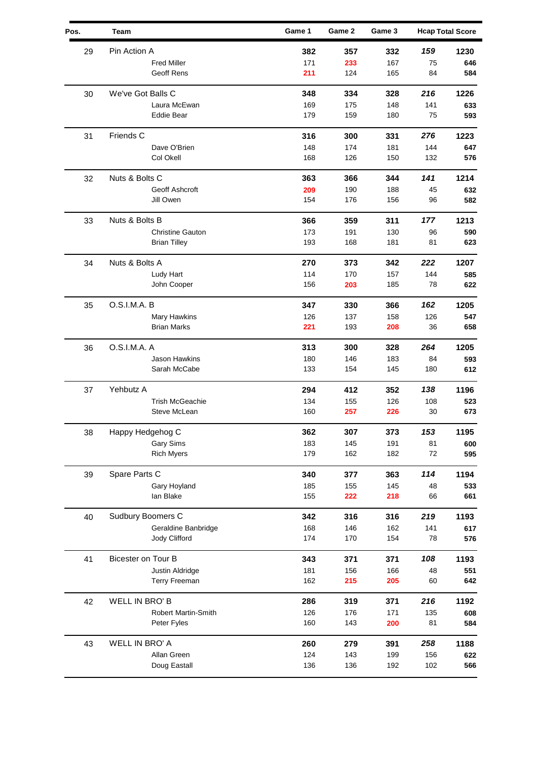| Pin Action A<br>159<br>382<br>357<br>1230<br>29<br>332<br><b>Fred Miller</b><br>171<br>233<br>167<br>75<br>646<br>Geoff Rens<br>211<br>584<br>124<br>165<br>84<br>We've Got Balls C<br>216<br>1226<br>30<br>348<br>334<br>328<br>169<br>175<br>148<br>141<br>633<br>Laura McEwan<br>179<br>593<br><b>Eddie Bear</b><br>159<br>180<br>75<br>Friends C<br>276<br>316<br>1223<br>31<br>300<br>331<br>Dave O'Brien<br>148<br>174<br>181<br>144<br>647<br>Col Okell<br>168<br>126<br>150<br>132<br>576<br>Nuts & Bolts C<br>141<br>1214<br>32<br>363<br>366<br>344<br>Geoff Ashcroft<br>209<br>190<br>188<br>45<br>632<br>154<br>176<br>582<br>Jill Owen<br>156<br>96<br>Nuts & Bolts B<br>177<br>366<br>359<br>311<br>1213<br>33<br>173<br>191<br>130<br><b>Christine Gauton</b><br>96<br>590<br>193<br>168<br>181<br>81<br>623<br><b>Brian Tilley</b><br>Nuts & Bolts A<br>222<br>34<br>270<br>373<br>342<br>1207<br>114<br>170<br>144<br>Ludy Hart<br>157<br>585<br>156<br>78<br>John Cooper<br>203<br>185<br>622<br>O.S.I.M.A. B<br>162<br>35<br>347<br>330<br>366<br>1205<br>Mary Hawkins<br>126<br>137<br>158<br>126<br>547<br><b>Brian Marks</b><br>221<br>193<br>36<br>208<br>658<br>O.S.I.M.A. A<br>313<br>300<br>328<br>264<br>1205<br>36<br>Jason Hawkins<br>180<br>146<br>183<br>84<br>593<br>133<br>612<br>Sarah McCabe<br>154<br>145<br>180<br>Yehbutz A<br>294<br>412<br>352<br>138<br>1196<br>37<br><b>Trish McGeachie</b><br>134<br>126<br>108<br>155<br>523<br>Steve McLean<br>160<br>257<br>30<br>673<br>226<br>Happy Hedgehog C<br>38<br>362<br>307<br>373<br>153<br>1195<br><b>Gary Sims</b><br>183<br>191<br>81<br>600<br>145<br>179<br>72<br>595<br><b>Rich Myers</b><br>162<br>182<br>Spare Parts C<br>114<br>1194<br>39<br>340<br>377<br>363<br>Gary Hoyland<br>185<br>155<br>145<br>48<br>533<br>lan Blake<br>155<br>222<br>218<br>66<br>661<br>Sudbury Boomers C<br>219<br>40<br>342<br>316<br>316<br>1193<br>Geraldine Banbridge<br>168<br>617<br>146<br>162<br>141<br>Jody Clifford<br>174<br>170<br>154<br>78<br>576<br>Bicester on Tour B<br>108<br>1193<br>41<br>343<br>371<br>371<br>181<br>156<br>166<br>551<br>Justin Aldridge<br>48<br>162<br>Terry Freeman<br>215<br>205<br>60<br>642<br><b>WELL IN BRO'B</b><br>216<br>42<br>286<br>1192<br>319<br>371<br><b>Robert Martin-Smith</b><br>126<br>176<br>171<br>135<br>608<br>160<br>143<br>Peter Fyles<br>81<br>584<br>200<br><b>WELL IN BRO' A</b><br>260<br>258<br>1188<br>43<br>279<br>391<br>124<br>Allan Green<br>143<br>199<br>156<br>622<br>Doug Eastall<br>136<br>136<br>102<br>192<br>566 | Pos. | Team | Game 1 | Game 2 | Game 3 | <b>Hcap Total Score</b> |
|-----------------------------------------------------------------------------------------------------------------------------------------------------------------------------------------------------------------------------------------------------------------------------------------------------------------------------------------------------------------------------------------------------------------------------------------------------------------------------------------------------------------------------------------------------------------------------------------------------------------------------------------------------------------------------------------------------------------------------------------------------------------------------------------------------------------------------------------------------------------------------------------------------------------------------------------------------------------------------------------------------------------------------------------------------------------------------------------------------------------------------------------------------------------------------------------------------------------------------------------------------------------------------------------------------------------------------------------------------------------------------------------------------------------------------------------------------------------------------------------------------------------------------------------------------------------------------------------------------------------------------------------------------------------------------------------------------------------------------------------------------------------------------------------------------------------------------------------------------------------------------------------------------------------------------------------------------------------------------------------------------------------------------------------------------------------------------------------------------------------------------------------------------------------------------------------------------------------------------------------------------------------------------------------------------------------------------------------------------------------------------------------------------------------------------------------------------------------------------------------------------------------------------------------------------------------------------------|------|------|--------|--------|--------|-------------------------|
|                                                                                                                                                                                                                                                                                                                                                                                                                                                                                                                                                                                                                                                                                                                                                                                                                                                                                                                                                                                                                                                                                                                                                                                                                                                                                                                                                                                                                                                                                                                                                                                                                                                                                                                                                                                                                                                                                                                                                                                                                                                                                                                                                                                                                                                                                                                                                                                                                                                                                                                                                                                   |      |      |        |        |        |                         |
|                                                                                                                                                                                                                                                                                                                                                                                                                                                                                                                                                                                                                                                                                                                                                                                                                                                                                                                                                                                                                                                                                                                                                                                                                                                                                                                                                                                                                                                                                                                                                                                                                                                                                                                                                                                                                                                                                                                                                                                                                                                                                                                                                                                                                                                                                                                                                                                                                                                                                                                                                                                   |      |      |        |        |        |                         |
|                                                                                                                                                                                                                                                                                                                                                                                                                                                                                                                                                                                                                                                                                                                                                                                                                                                                                                                                                                                                                                                                                                                                                                                                                                                                                                                                                                                                                                                                                                                                                                                                                                                                                                                                                                                                                                                                                                                                                                                                                                                                                                                                                                                                                                                                                                                                                                                                                                                                                                                                                                                   |      |      |        |        |        |                         |
|                                                                                                                                                                                                                                                                                                                                                                                                                                                                                                                                                                                                                                                                                                                                                                                                                                                                                                                                                                                                                                                                                                                                                                                                                                                                                                                                                                                                                                                                                                                                                                                                                                                                                                                                                                                                                                                                                                                                                                                                                                                                                                                                                                                                                                                                                                                                                                                                                                                                                                                                                                                   |      |      |        |        |        |                         |
|                                                                                                                                                                                                                                                                                                                                                                                                                                                                                                                                                                                                                                                                                                                                                                                                                                                                                                                                                                                                                                                                                                                                                                                                                                                                                                                                                                                                                                                                                                                                                                                                                                                                                                                                                                                                                                                                                                                                                                                                                                                                                                                                                                                                                                                                                                                                                                                                                                                                                                                                                                                   |      |      |        |        |        |                         |
|                                                                                                                                                                                                                                                                                                                                                                                                                                                                                                                                                                                                                                                                                                                                                                                                                                                                                                                                                                                                                                                                                                                                                                                                                                                                                                                                                                                                                                                                                                                                                                                                                                                                                                                                                                                                                                                                                                                                                                                                                                                                                                                                                                                                                                                                                                                                                                                                                                                                                                                                                                                   |      |      |        |        |        |                         |
|                                                                                                                                                                                                                                                                                                                                                                                                                                                                                                                                                                                                                                                                                                                                                                                                                                                                                                                                                                                                                                                                                                                                                                                                                                                                                                                                                                                                                                                                                                                                                                                                                                                                                                                                                                                                                                                                                                                                                                                                                                                                                                                                                                                                                                                                                                                                                                                                                                                                                                                                                                                   |      |      |        |        |        |                         |
|                                                                                                                                                                                                                                                                                                                                                                                                                                                                                                                                                                                                                                                                                                                                                                                                                                                                                                                                                                                                                                                                                                                                                                                                                                                                                                                                                                                                                                                                                                                                                                                                                                                                                                                                                                                                                                                                                                                                                                                                                                                                                                                                                                                                                                                                                                                                                                                                                                                                                                                                                                                   |      |      |        |        |        |                         |
|                                                                                                                                                                                                                                                                                                                                                                                                                                                                                                                                                                                                                                                                                                                                                                                                                                                                                                                                                                                                                                                                                                                                                                                                                                                                                                                                                                                                                                                                                                                                                                                                                                                                                                                                                                                                                                                                                                                                                                                                                                                                                                                                                                                                                                                                                                                                                                                                                                                                                                                                                                                   |      |      |        |        |        |                         |
|                                                                                                                                                                                                                                                                                                                                                                                                                                                                                                                                                                                                                                                                                                                                                                                                                                                                                                                                                                                                                                                                                                                                                                                                                                                                                                                                                                                                                                                                                                                                                                                                                                                                                                                                                                                                                                                                                                                                                                                                                                                                                                                                                                                                                                                                                                                                                                                                                                                                                                                                                                                   |      |      |        |        |        |                         |
|                                                                                                                                                                                                                                                                                                                                                                                                                                                                                                                                                                                                                                                                                                                                                                                                                                                                                                                                                                                                                                                                                                                                                                                                                                                                                                                                                                                                                                                                                                                                                                                                                                                                                                                                                                                                                                                                                                                                                                                                                                                                                                                                                                                                                                                                                                                                                                                                                                                                                                                                                                                   |      |      |        |        |        |                         |
|                                                                                                                                                                                                                                                                                                                                                                                                                                                                                                                                                                                                                                                                                                                                                                                                                                                                                                                                                                                                                                                                                                                                                                                                                                                                                                                                                                                                                                                                                                                                                                                                                                                                                                                                                                                                                                                                                                                                                                                                                                                                                                                                                                                                                                                                                                                                                                                                                                                                                                                                                                                   |      |      |        |        |        |                         |
|                                                                                                                                                                                                                                                                                                                                                                                                                                                                                                                                                                                                                                                                                                                                                                                                                                                                                                                                                                                                                                                                                                                                                                                                                                                                                                                                                                                                                                                                                                                                                                                                                                                                                                                                                                                                                                                                                                                                                                                                                                                                                                                                                                                                                                                                                                                                                                                                                                                                                                                                                                                   |      |      |        |        |        |                         |
|                                                                                                                                                                                                                                                                                                                                                                                                                                                                                                                                                                                                                                                                                                                                                                                                                                                                                                                                                                                                                                                                                                                                                                                                                                                                                                                                                                                                                                                                                                                                                                                                                                                                                                                                                                                                                                                                                                                                                                                                                                                                                                                                                                                                                                                                                                                                                                                                                                                                                                                                                                                   |      |      |        |        |        |                         |
|                                                                                                                                                                                                                                                                                                                                                                                                                                                                                                                                                                                                                                                                                                                                                                                                                                                                                                                                                                                                                                                                                                                                                                                                                                                                                                                                                                                                                                                                                                                                                                                                                                                                                                                                                                                                                                                                                                                                                                                                                                                                                                                                                                                                                                                                                                                                                                                                                                                                                                                                                                                   |      |      |        |        |        |                         |
|                                                                                                                                                                                                                                                                                                                                                                                                                                                                                                                                                                                                                                                                                                                                                                                                                                                                                                                                                                                                                                                                                                                                                                                                                                                                                                                                                                                                                                                                                                                                                                                                                                                                                                                                                                                                                                                                                                                                                                                                                                                                                                                                                                                                                                                                                                                                                                                                                                                                                                                                                                                   |      |      |        |        |        |                         |
|                                                                                                                                                                                                                                                                                                                                                                                                                                                                                                                                                                                                                                                                                                                                                                                                                                                                                                                                                                                                                                                                                                                                                                                                                                                                                                                                                                                                                                                                                                                                                                                                                                                                                                                                                                                                                                                                                                                                                                                                                                                                                                                                                                                                                                                                                                                                                                                                                                                                                                                                                                                   |      |      |        |        |        |                         |
|                                                                                                                                                                                                                                                                                                                                                                                                                                                                                                                                                                                                                                                                                                                                                                                                                                                                                                                                                                                                                                                                                                                                                                                                                                                                                                                                                                                                                                                                                                                                                                                                                                                                                                                                                                                                                                                                                                                                                                                                                                                                                                                                                                                                                                                                                                                                                                                                                                                                                                                                                                                   |      |      |        |        |        |                         |
|                                                                                                                                                                                                                                                                                                                                                                                                                                                                                                                                                                                                                                                                                                                                                                                                                                                                                                                                                                                                                                                                                                                                                                                                                                                                                                                                                                                                                                                                                                                                                                                                                                                                                                                                                                                                                                                                                                                                                                                                                                                                                                                                                                                                                                                                                                                                                                                                                                                                                                                                                                                   |      |      |        |        |        |                         |
|                                                                                                                                                                                                                                                                                                                                                                                                                                                                                                                                                                                                                                                                                                                                                                                                                                                                                                                                                                                                                                                                                                                                                                                                                                                                                                                                                                                                                                                                                                                                                                                                                                                                                                                                                                                                                                                                                                                                                                                                                                                                                                                                                                                                                                                                                                                                                                                                                                                                                                                                                                                   |      |      |        |        |        |                         |
|                                                                                                                                                                                                                                                                                                                                                                                                                                                                                                                                                                                                                                                                                                                                                                                                                                                                                                                                                                                                                                                                                                                                                                                                                                                                                                                                                                                                                                                                                                                                                                                                                                                                                                                                                                                                                                                                                                                                                                                                                                                                                                                                                                                                                                                                                                                                                                                                                                                                                                                                                                                   |      |      |        |        |        |                         |
|                                                                                                                                                                                                                                                                                                                                                                                                                                                                                                                                                                                                                                                                                                                                                                                                                                                                                                                                                                                                                                                                                                                                                                                                                                                                                                                                                                                                                                                                                                                                                                                                                                                                                                                                                                                                                                                                                                                                                                                                                                                                                                                                                                                                                                                                                                                                                                                                                                                                                                                                                                                   |      |      |        |        |        |                         |
|                                                                                                                                                                                                                                                                                                                                                                                                                                                                                                                                                                                                                                                                                                                                                                                                                                                                                                                                                                                                                                                                                                                                                                                                                                                                                                                                                                                                                                                                                                                                                                                                                                                                                                                                                                                                                                                                                                                                                                                                                                                                                                                                                                                                                                                                                                                                                                                                                                                                                                                                                                                   |      |      |        |        |        |                         |
|                                                                                                                                                                                                                                                                                                                                                                                                                                                                                                                                                                                                                                                                                                                                                                                                                                                                                                                                                                                                                                                                                                                                                                                                                                                                                                                                                                                                                                                                                                                                                                                                                                                                                                                                                                                                                                                                                                                                                                                                                                                                                                                                                                                                                                                                                                                                                                                                                                                                                                                                                                                   |      |      |        |        |        |                         |
|                                                                                                                                                                                                                                                                                                                                                                                                                                                                                                                                                                                                                                                                                                                                                                                                                                                                                                                                                                                                                                                                                                                                                                                                                                                                                                                                                                                                                                                                                                                                                                                                                                                                                                                                                                                                                                                                                                                                                                                                                                                                                                                                                                                                                                                                                                                                                                                                                                                                                                                                                                                   |      |      |        |        |        |                         |
|                                                                                                                                                                                                                                                                                                                                                                                                                                                                                                                                                                                                                                                                                                                                                                                                                                                                                                                                                                                                                                                                                                                                                                                                                                                                                                                                                                                                                                                                                                                                                                                                                                                                                                                                                                                                                                                                                                                                                                                                                                                                                                                                                                                                                                                                                                                                                                                                                                                                                                                                                                                   |      |      |        |        |        |                         |
|                                                                                                                                                                                                                                                                                                                                                                                                                                                                                                                                                                                                                                                                                                                                                                                                                                                                                                                                                                                                                                                                                                                                                                                                                                                                                                                                                                                                                                                                                                                                                                                                                                                                                                                                                                                                                                                                                                                                                                                                                                                                                                                                                                                                                                                                                                                                                                                                                                                                                                                                                                                   |      |      |        |        |        |                         |
|                                                                                                                                                                                                                                                                                                                                                                                                                                                                                                                                                                                                                                                                                                                                                                                                                                                                                                                                                                                                                                                                                                                                                                                                                                                                                                                                                                                                                                                                                                                                                                                                                                                                                                                                                                                                                                                                                                                                                                                                                                                                                                                                                                                                                                                                                                                                                                                                                                                                                                                                                                                   |      |      |        |        |        |                         |
|                                                                                                                                                                                                                                                                                                                                                                                                                                                                                                                                                                                                                                                                                                                                                                                                                                                                                                                                                                                                                                                                                                                                                                                                                                                                                                                                                                                                                                                                                                                                                                                                                                                                                                                                                                                                                                                                                                                                                                                                                                                                                                                                                                                                                                                                                                                                                                                                                                                                                                                                                                                   |      |      |        |        |        |                         |
|                                                                                                                                                                                                                                                                                                                                                                                                                                                                                                                                                                                                                                                                                                                                                                                                                                                                                                                                                                                                                                                                                                                                                                                                                                                                                                                                                                                                                                                                                                                                                                                                                                                                                                                                                                                                                                                                                                                                                                                                                                                                                                                                                                                                                                                                                                                                                                                                                                                                                                                                                                                   |      |      |        |        |        |                         |
|                                                                                                                                                                                                                                                                                                                                                                                                                                                                                                                                                                                                                                                                                                                                                                                                                                                                                                                                                                                                                                                                                                                                                                                                                                                                                                                                                                                                                                                                                                                                                                                                                                                                                                                                                                                                                                                                                                                                                                                                                                                                                                                                                                                                                                                                                                                                                                                                                                                                                                                                                                                   |      |      |        |        |        |                         |
|                                                                                                                                                                                                                                                                                                                                                                                                                                                                                                                                                                                                                                                                                                                                                                                                                                                                                                                                                                                                                                                                                                                                                                                                                                                                                                                                                                                                                                                                                                                                                                                                                                                                                                                                                                                                                                                                                                                                                                                                                                                                                                                                                                                                                                                                                                                                                                                                                                                                                                                                                                                   |      |      |        |        |        |                         |
|                                                                                                                                                                                                                                                                                                                                                                                                                                                                                                                                                                                                                                                                                                                                                                                                                                                                                                                                                                                                                                                                                                                                                                                                                                                                                                                                                                                                                                                                                                                                                                                                                                                                                                                                                                                                                                                                                                                                                                                                                                                                                                                                                                                                                                                                                                                                                                                                                                                                                                                                                                                   |      |      |        |        |        |                         |
|                                                                                                                                                                                                                                                                                                                                                                                                                                                                                                                                                                                                                                                                                                                                                                                                                                                                                                                                                                                                                                                                                                                                                                                                                                                                                                                                                                                                                                                                                                                                                                                                                                                                                                                                                                                                                                                                                                                                                                                                                                                                                                                                                                                                                                                                                                                                                                                                                                                                                                                                                                                   |      |      |        |        |        |                         |
|                                                                                                                                                                                                                                                                                                                                                                                                                                                                                                                                                                                                                                                                                                                                                                                                                                                                                                                                                                                                                                                                                                                                                                                                                                                                                                                                                                                                                                                                                                                                                                                                                                                                                                                                                                                                                                                                                                                                                                                                                                                                                                                                                                                                                                                                                                                                                                                                                                                                                                                                                                                   |      |      |        |        |        |                         |
|                                                                                                                                                                                                                                                                                                                                                                                                                                                                                                                                                                                                                                                                                                                                                                                                                                                                                                                                                                                                                                                                                                                                                                                                                                                                                                                                                                                                                                                                                                                                                                                                                                                                                                                                                                                                                                                                                                                                                                                                                                                                                                                                                                                                                                                                                                                                                                                                                                                                                                                                                                                   |      |      |        |        |        |                         |
|                                                                                                                                                                                                                                                                                                                                                                                                                                                                                                                                                                                                                                                                                                                                                                                                                                                                                                                                                                                                                                                                                                                                                                                                                                                                                                                                                                                                                                                                                                                                                                                                                                                                                                                                                                                                                                                                                                                                                                                                                                                                                                                                                                                                                                                                                                                                                                                                                                                                                                                                                                                   |      |      |        |        |        |                         |
|                                                                                                                                                                                                                                                                                                                                                                                                                                                                                                                                                                                                                                                                                                                                                                                                                                                                                                                                                                                                                                                                                                                                                                                                                                                                                                                                                                                                                                                                                                                                                                                                                                                                                                                                                                                                                                                                                                                                                                                                                                                                                                                                                                                                                                                                                                                                                                                                                                                                                                                                                                                   |      |      |        |        |        |                         |
|                                                                                                                                                                                                                                                                                                                                                                                                                                                                                                                                                                                                                                                                                                                                                                                                                                                                                                                                                                                                                                                                                                                                                                                                                                                                                                                                                                                                                                                                                                                                                                                                                                                                                                                                                                                                                                                                                                                                                                                                                                                                                                                                                                                                                                                                                                                                                                                                                                                                                                                                                                                   |      |      |        |        |        |                         |
|                                                                                                                                                                                                                                                                                                                                                                                                                                                                                                                                                                                                                                                                                                                                                                                                                                                                                                                                                                                                                                                                                                                                                                                                                                                                                                                                                                                                                                                                                                                                                                                                                                                                                                                                                                                                                                                                                                                                                                                                                                                                                                                                                                                                                                                                                                                                                                                                                                                                                                                                                                                   |      |      |        |        |        |                         |
|                                                                                                                                                                                                                                                                                                                                                                                                                                                                                                                                                                                                                                                                                                                                                                                                                                                                                                                                                                                                                                                                                                                                                                                                                                                                                                                                                                                                                                                                                                                                                                                                                                                                                                                                                                                                                                                                                                                                                                                                                                                                                                                                                                                                                                                                                                                                                                                                                                                                                                                                                                                   |      |      |        |        |        |                         |
|                                                                                                                                                                                                                                                                                                                                                                                                                                                                                                                                                                                                                                                                                                                                                                                                                                                                                                                                                                                                                                                                                                                                                                                                                                                                                                                                                                                                                                                                                                                                                                                                                                                                                                                                                                                                                                                                                                                                                                                                                                                                                                                                                                                                                                                                                                                                                                                                                                                                                                                                                                                   |      |      |        |        |        |                         |
|                                                                                                                                                                                                                                                                                                                                                                                                                                                                                                                                                                                                                                                                                                                                                                                                                                                                                                                                                                                                                                                                                                                                                                                                                                                                                                                                                                                                                                                                                                                                                                                                                                                                                                                                                                                                                                                                                                                                                                                                                                                                                                                                                                                                                                                                                                                                                                                                                                                                                                                                                                                   |      |      |        |        |        |                         |
|                                                                                                                                                                                                                                                                                                                                                                                                                                                                                                                                                                                                                                                                                                                                                                                                                                                                                                                                                                                                                                                                                                                                                                                                                                                                                                                                                                                                                                                                                                                                                                                                                                                                                                                                                                                                                                                                                                                                                                                                                                                                                                                                                                                                                                                                                                                                                                                                                                                                                                                                                                                   |      |      |        |        |        |                         |
|                                                                                                                                                                                                                                                                                                                                                                                                                                                                                                                                                                                                                                                                                                                                                                                                                                                                                                                                                                                                                                                                                                                                                                                                                                                                                                                                                                                                                                                                                                                                                                                                                                                                                                                                                                                                                                                                                                                                                                                                                                                                                                                                                                                                                                                                                                                                                                                                                                                                                                                                                                                   |      |      |        |        |        |                         |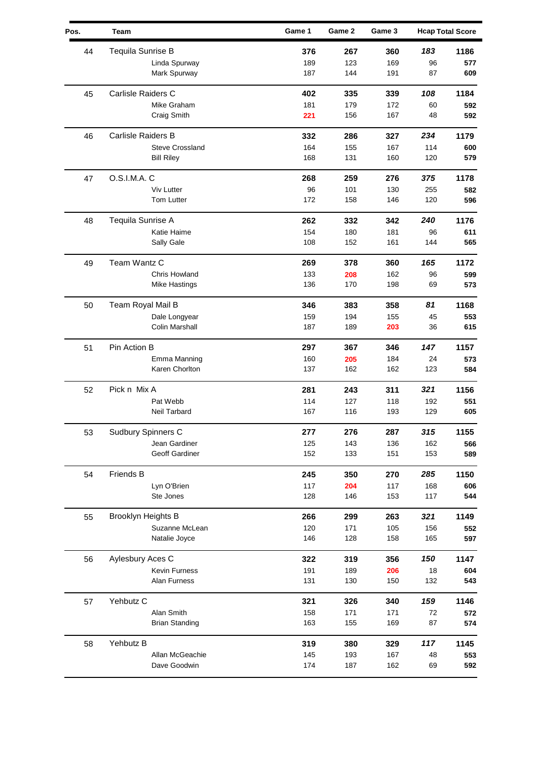| Pos. | Team                   | Game 1 | Game 2 | Game 3 |     | <b>Hcap Total Score</b> |
|------|------------------------|--------|--------|--------|-----|-------------------------|
| 44   | Tequila Sunrise B      | 376    | 267    | 360    | 183 | 1186                    |
|      | Linda Spurway          | 189    | 123    | 169    | 96  | 577                     |
|      | Mark Spurway           | 187    | 144    | 191    | 87  | 609                     |
| 45   | Carlisle Raiders C     | 402    | 335    | 339    | 108 | 1184                    |
|      | Mike Graham            | 181    | 179    | 172    | 60  | 592                     |
|      | Craig Smith            | 221    | 156    | 167    | 48  | 592                     |
| 46   | Carlisle Raiders B     | 332    | 286    | 327    | 234 | 1179                    |
|      | <b>Steve Crossland</b> | 164    | 155    | 167    | 114 | 600                     |
|      | <b>Bill Riley</b>      | 168    | 131    | 160    | 120 | 579                     |
| 47   | O.S.I.M.A.C            | 268    | 259    | 276    | 375 | 1178                    |
|      | <b>Viv Lutter</b>      | 96     | 101    | 130    | 255 | 582                     |
|      | Tom Lutter             | 172    | 158    | 146    | 120 | 596                     |
| 48   | Tequila Sunrise A      | 262    | 332    | 342    | 240 | 1176                    |
|      | Katie Haime            | 154    | 180    | 181    | 96  | 611                     |
|      | Sally Gale             | 108    | 152    | 161    | 144 | 565                     |
| 49   | Team Wantz C           | 269    | 378    | 360    | 165 | 1172                    |
|      | Chris Howland          | 133    | 208    | 162    | 96  | 599                     |
|      | <b>Mike Hastings</b>   | 136    | 170    | 198    | 69  | 573                     |
| 50   | Team Royal Mail B      | 346    | 383    | 358    | 81  | 1168                    |
|      | Dale Longyear          | 159    | 194    | 155    | 45  | 553                     |
|      | Colin Marshall         | 187    | 189    | 203    | 36  | 615                     |
| 51   | Pin Action B           | 297    | 367    | 346    | 147 | 1157                    |
|      | Emma Manning           | 160    | 205    | 184    | 24  | 573                     |
|      | Karen Chorlton         | 137    | 162    | 162    | 123 | 584                     |
| 52   | Pick n Mix A           | 281    | 243    | 311    | 321 | 1156                    |
|      | Pat Webb               | 114    | 127    | 118    | 192 | 551                     |
|      | Neil Tarbard           | 167    | 116    | 193    | 129 | 605                     |
| 53   | Sudbury Spinners C     | 277    | 276    | 287    | 315 | 1155                    |
|      | Jean Gardiner          | 125    | 143    | 136    | 162 | 566                     |
|      | Geoff Gardiner         | 152    | 133    | 151    | 153 | 589                     |
| 54   | <b>Friends B</b>       | 245    | 350    | 270    | 285 | 1150                    |
|      | Lyn O'Brien            | 117    | 204    | 117    | 168 | 606                     |
|      | Ste Jones              | 128    | 146    | 153    | 117 | 544                     |
| 55   | Brooklyn Heights B     | 266    | 299    | 263    | 321 | 1149                    |
|      | Suzanne McLean         | 120    | 171    | 105    | 156 | 552                     |
|      | Natalie Joyce          | 146    | 128    | 158    | 165 | 597                     |
| 56   | Aylesbury Aces C       | 322    | 319    | 356    | 150 | 1147                    |
|      | Kevin Furness          | 191    | 189    | 206    | 18  | 604                     |
|      | Alan Furness           | 131    | 130    | 150    | 132 | 543                     |
| 57   | Yehbutz C              | 321    | 326    | 340    | 159 | 1146                    |
|      | Alan Smith             | 158    | 171    | 171    | 72  | 572                     |
|      | <b>Brian Standing</b>  | 163    | 155    | 169    | 87  | 574                     |
| 58   | Yehbutz B              | 319    | 380    | 329    | 117 | 1145                    |
|      | Allan McGeachie        | 145    | 193    | 167    | 48  | 553                     |
|      | Dave Goodwin           | 174    | 187    | 162    | 69  | 592                     |